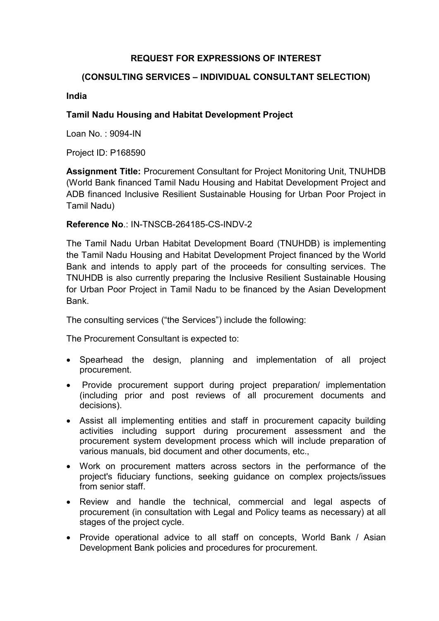# REQUEST FOR EXPRESSIONS OF INTEREST

### (CONSULTING SERVICES – INDIVIDUAL CONSULTANT SELECTION)

#### India

# Tamil Nadu Housing and Habitat Development Project

Loan No. : 9094-IN

Project ID: P168590

Assignment Title: Procurement Consultant for Project Monitoring Unit, TNUHDB (World Bank financed Tamil Nadu Housing and Habitat Development Project and ADB financed Inclusive Resilient Sustainable Housing for Urban Poor Project in Tamil Nadu)

### Reference No.: IN-TNSCB-264185-CS-INDV-2

The Tamil Nadu Urban Habitat Development Board (TNUHDB) is implementing the Tamil Nadu Housing and Habitat Development Project financed by the World Bank and intends to apply part of the proceeds for consulting services. The TNUHDB is also currently preparing the Inclusive Resilient Sustainable Housing for Urban Poor Project in Tamil Nadu to be financed by the Asian Development Bank.

The consulting services ("the Services") include the following:

The Procurement Consultant is expected to:

- Spearhead the design, planning and implementation of all project procurement.
- Provide procurement support during project preparation/ implementation (including prior and post reviews of all procurement documents and decisions).
- Assist all implementing entities and staff in procurement capacity building activities including support during procurement assessment and the procurement system development process which will include preparation of various manuals, bid document and other documents, etc.,
- Work on procurement matters across sectors in the performance of the project's fiduciary functions, seeking guidance on complex projects/issues from senior staff.
- Review and handle the technical, commercial and legal aspects of procurement (in consultation with Legal and Policy teams as necessary) at all stages of the project cycle.
- Provide operational advice to all staff on concepts, World Bank / Asian Development Bank policies and procedures for procurement.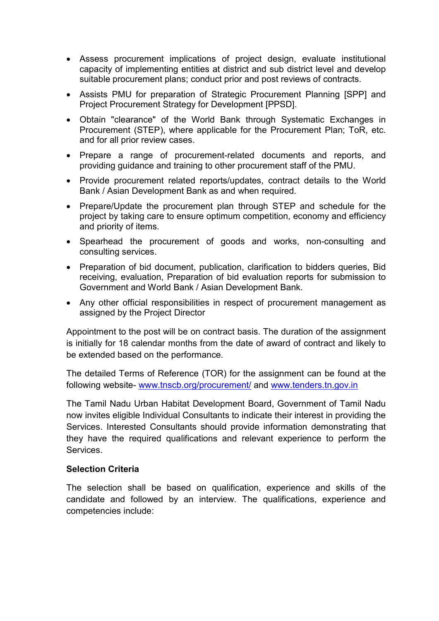- Assess procurement implications of project design, evaluate institutional capacity of implementing entities at district and sub district level and develop suitable procurement plans; conduct prior and post reviews of contracts.
- Assists PMU for preparation of Strategic Procurement Planning [SPP] and Project Procurement Strategy for Development [PPSD].
- Obtain "clearance" of the World Bank through Systematic Exchanges in Procurement (STEP), where applicable for the Procurement Plan; ToR, etc. and for all prior review cases.
- Prepare a range of procurement-related documents and reports, and providing guidance and training to other procurement staff of the PMU.
- Provide procurement related reports/updates, contract details to the World Bank / Asian Development Bank as and when required.
- Prepare/Update the procurement plan through STEP and schedule for the project by taking care to ensure optimum competition, economy and efficiency and priority of items.
- Spearhead the procurement of goods and works, non-consulting and consulting services.
- Preparation of bid document, publication, clarification to bidders queries, Bid receiving, evaluation, Preparation of bid evaluation reports for submission to Government and World Bank / Asian Development Bank.
- Any other official responsibilities in respect of procurement management as assigned by the Project Director

Appointment to the post will be on contract basis. The duration of the assignment is initially for 18 calendar months from the date of award of contract and likely to be extended based on the performance.

The detailed Terms of Reference (TOR) for the assignment can be found at the following website- www.tnscb.org/procurement/ and www.tenders.tn.gov.in

The Tamil Nadu Urban Habitat Development Board, Government of Tamil Nadu now invites eligible Individual Consultants to indicate their interest in providing the Services. Interested Consultants should provide information demonstrating that they have the required qualifications and relevant experience to perform the Services.

#### Selection Criteria

The selection shall be based on qualification, experience and skills of the candidate and followed by an interview. The qualifications, experience and competencies include: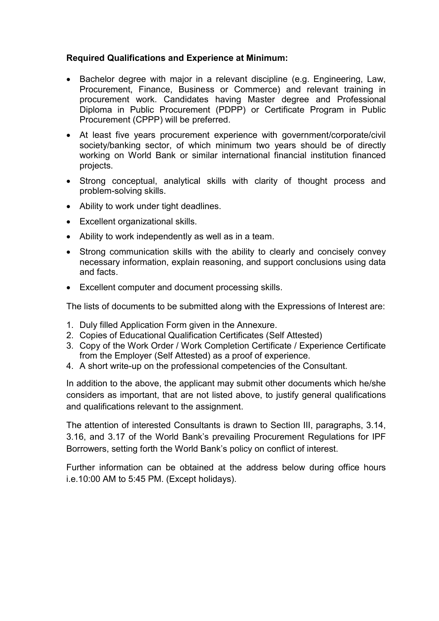# Required Qualifications and Experience at Minimum:

- Bachelor degree with major in a relevant discipline (e.g. Engineering, Law, Procurement, Finance, Business or Commerce) and relevant training in procurement work. Candidates having Master degree and Professional Diploma in Public Procurement (PDPP) or Certificate Program in Public Procurement (CPPP) will be preferred.
- At least five years procurement experience with government/corporate/civil society/banking sector, of which minimum two years should be of directly working on World Bank or similar international financial institution financed projects.
- Strong conceptual, analytical skills with clarity of thought process and problem-solving skills.
- Ability to work under tight deadlines.
- Excellent organizational skills.
- Ability to work independently as well as in a team.
- Strong communication skills with the ability to clearly and concisely convey necessary information, explain reasoning, and support conclusions using data and facts.
- Excellent computer and document processing skills.

The lists of documents to be submitted along with the Expressions of Interest are:

- 1. Duly filled Application Form given in the Annexure.
- 2. Copies of Educational Qualification Certificates (Self Attested)
- 3. Copy of the Work Order / Work Completion Certificate / Experience Certificate from the Employer (Self Attested) as a proof of experience.
- 4. A short write-up on the professional competencies of the Consultant.

In addition to the above, the applicant may submit other documents which he/she considers as important, that are not listed above, to justify general qualifications and qualifications relevant to the assignment.

The attention of interested Consultants is drawn to Section III, paragraphs, 3.14, 3.16, and 3.17 of the World Bank's prevailing Procurement Regulations for IPF Borrowers, setting forth the World Bank's policy on conflict of interest.

Further information can be obtained at the address below during office hours i.e.10:00 AM to 5:45 PM. (Except holidays).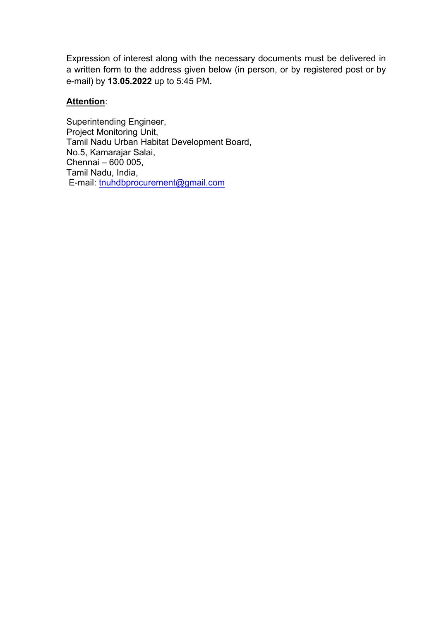Expression of interest along with the necessary documents must be delivered in a written form to the address given below (in person, or by registered post or by e-mail) by 13.05.2022 up to 5:45 PM.

# Attention:

Superintending Engineer, Project Monitoring Unit, Tamil Nadu Urban Habitat Development Board, No.5, Kamarajar Salai, Chennai – 600 005, Tamil Nadu, India, E-mail: tnuhdbprocurement@gmail.com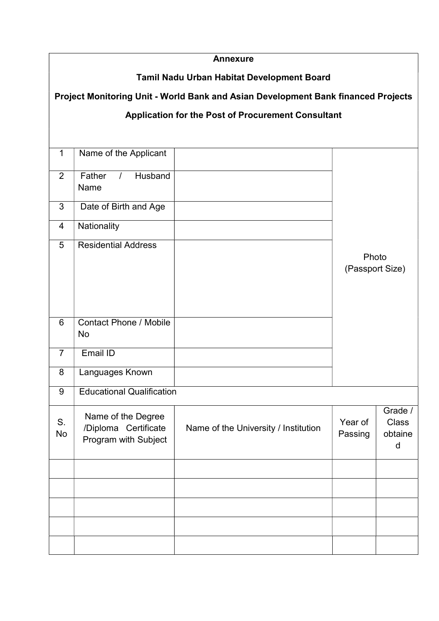| <b>Annexure</b>                                                                   |                                                                    |                                      |                          |                                         |  |  |  |  |
|-----------------------------------------------------------------------------------|--------------------------------------------------------------------|--------------------------------------|--------------------------|-----------------------------------------|--|--|--|--|
| Tamil Nadu Urban Habitat Development Board                                        |                                                                    |                                      |                          |                                         |  |  |  |  |
| Project Monitoring Unit - World Bank and Asian Development Bank financed Projects |                                                                    |                                      |                          |                                         |  |  |  |  |
| <b>Application for the Post of Procurement Consultant</b>                         |                                                                    |                                      |                          |                                         |  |  |  |  |
|                                                                                   |                                                                    |                                      |                          |                                         |  |  |  |  |
| $\mathbf{1}$                                                                      | Name of the Applicant                                              |                                      |                          |                                         |  |  |  |  |
| 2                                                                                 | Father<br>Husband<br>$\prime$<br>Name                              |                                      |                          |                                         |  |  |  |  |
| 3                                                                                 | Date of Birth and Age                                              |                                      | Photo<br>(Passport Size) |                                         |  |  |  |  |
| $\overline{4}$                                                                    | Nationality                                                        |                                      |                          |                                         |  |  |  |  |
| 5                                                                                 | <b>Residential Address</b>                                         |                                      |                          |                                         |  |  |  |  |
| 6                                                                                 | <b>Contact Phone / Mobile</b><br>No                                |                                      |                          |                                         |  |  |  |  |
| $\overline{7}$                                                                    | Email ID                                                           |                                      |                          |                                         |  |  |  |  |
| 8                                                                                 | Languages Known                                                    |                                      |                          |                                         |  |  |  |  |
| 9                                                                                 | <b>Educational Qualification</b>                                   |                                      |                          |                                         |  |  |  |  |
| S.<br>No                                                                          | Name of the Degree<br>/Diploma Certificate<br>Program with Subject | Name of the University / Institution | Year of<br>Passing       | Grade /<br><b>Class</b><br>obtaine<br>d |  |  |  |  |
|                                                                                   |                                                                    |                                      |                          |                                         |  |  |  |  |
|                                                                                   |                                                                    |                                      |                          |                                         |  |  |  |  |
|                                                                                   |                                                                    |                                      |                          |                                         |  |  |  |  |
|                                                                                   |                                                                    |                                      |                          |                                         |  |  |  |  |
|                                                                                   |                                                                    |                                      |                          |                                         |  |  |  |  |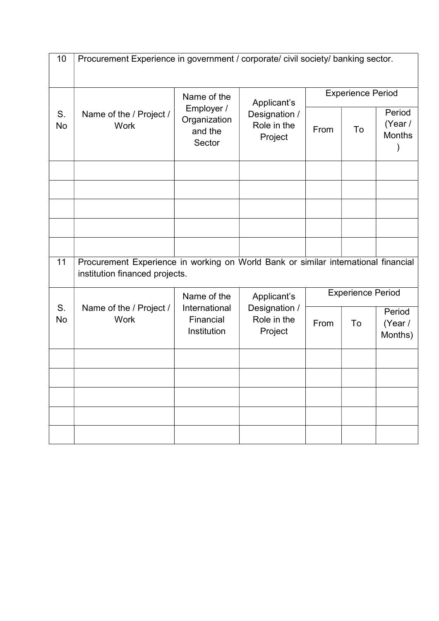| 10            | Procurement Experience in government / corporate/ civil society/ banking sector.                                     |                                                                |                                                        |                          |    |                                    |
|---------------|----------------------------------------------------------------------------------------------------------------------|----------------------------------------------------------------|--------------------------------------------------------|--------------------------|----|------------------------------------|
| S.<br>No      | Name of the / Project /<br><b>Work</b>                                                                               | Name of the<br>Employer /<br>Organization<br>and the<br>Sector | Applicant's<br>Designation /<br>Role in the<br>Project | <b>Experience Period</b> |    |                                    |
|               |                                                                                                                      |                                                                |                                                        | From                     | To | Period<br>(Year /<br><b>Months</b> |
|               |                                                                                                                      |                                                                |                                                        |                          |    |                                    |
|               |                                                                                                                      |                                                                |                                                        |                          |    |                                    |
|               |                                                                                                                      |                                                                |                                                        |                          |    |                                    |
| 11            |                                                                                                                      |                                                                |                                                        |                          |    |                                    |
|               | Procurement Experience in working on World Bank or similar international financial<br>institution financed projects. |                                                                |                                                        |                          |    |                                    |
|               | Name of the / Project /<br><b>Work</b>                                                                               | Name of the<br>International<br>Financial<br>Institution       | Applicant's<br>Designation /<br>Role in the<br>Project | <b>Experience Period</b> |    |                                    |
| $S_{1}$<br>No |                                                                                                                      |                                                                |                                                        | From                     | To | Period<br>(Year /<br>Months)       |
|               |                                                                                                                      |                                                                |                                                        |                          |    |                                    |
|               |                                                                                                                      |                                                                |                                                        |                          |    |                                    |
|               |                                                                                                                      |                                                                |                                                        |                          |    |                                    |
|               |                                                                                                                      |                                                                |                                                        |                          |    |                                    |
|               |                                                                                                                      |                                                                |                                                        |                          |    |                                    |